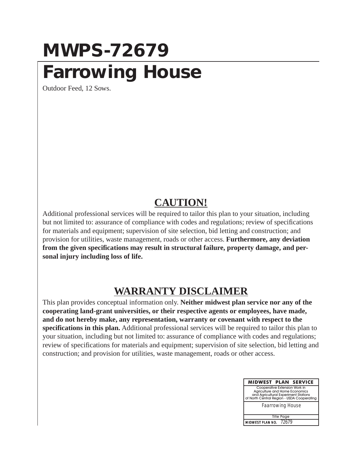#### **MWPS-72679 Farrowing House**

Outdoor Feed, 12 Sows.

#### **CAUTION!**

Additional professional services will be required to tailor this plan to your situation, including but not limited to: assurance of compliance with codes and regulations; review of specifications for materials and equipment; supervision of site selection, bid letting and construction; and provision for utilities, waste management, roads or other access. **Furthermore, any deviation from the given specifications may result in structural failure, property damage, and personal injury including loss of life.**

#### **WARRANTY DISCLAIMER**

This plan provides conceptual information only. **Neither midwest plan service nor any of the cooperating land-grant universities, or their respective agents or employees, have made, and do not hereby make, any representation, warranty or covenant with respect to the specifications in this plan.** Additional professional services will be required to tailor this plan to your situation, including but not limited to: assurance of compliance with codes and regulations; review of specifications for materials and equipment; supervision of site selection, bid letting and construction; and provision for utilities, waste management, roads or other access.

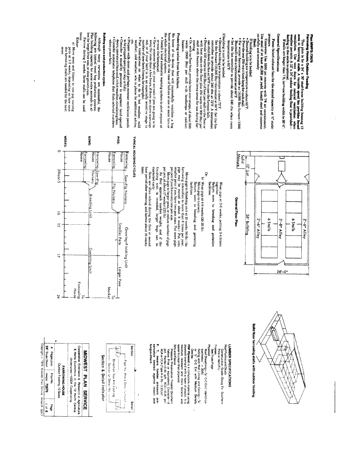### Fian MWPS-72679

 $\frac{1}{2}$ 

### Farrowing House; Outdoor Feeding

This plan is for a  $24'$  x 36' stud-frame building bousing 12 around in farrowing stable. A variable speed fan provides feroad proposition weather permits A 12' x 24' ondoor for natural weather or money and the studied of

General Specifications If stalls are longer than 7 ft, increase building width to 26'-0"

# Fans: Select exhaust fans for the stated capacity at W, static

Concrete: Use 3500 psi concrete with 7% air entranment.<br>Use steel of at least 40,000 psi yield. Install steel and concrete<br>carefully and accurately. anssauc

- 
- If building is to be bedded:
- 
- 
- 
- e Desired building sir temperature is about 65T?<br>experiment farrowing, provide an 18,000 Bui furnace (1500<br>e For winter farrowing, provide an 18,000 Bui furnace (1500<br>Buiydall) with a thermostat set at 66T? • Set the fan controller to provide about 240 cfm when room<br>temperature is 65 F.
- 
- 
- 
- If building is not be bedeeled:<br>
Serbret humane (18,000 But) thermostate at FSF.<br>
Serbret humane (18,000 But) thermostate at FSF. Set the fan<br>
controller to provide about 240 cfm at 72°. A thermostate<br>
controller to provi
- 
- rowing<br>• Or, with no floor heat, provide heat over creeps, of sbout 600<br>• wats: (2000) Bul) per stall with healtamps or radiant

## Protecting swine from fan failure.

We know of no device that will successfully ventilate a hog house automatically in the case of failure of one or more fans or the whole electrical system.

- · Install a loud automatic warning system to alert anyone at or near the farmstead.
- $\bullet$  Have someone baby-sit your animals if you are going to be  $\bullet$  Have someone baby-sit your animals if you are going to be
- out, or if your berd is in an especially sensitive stage to out, or if your berd is in an especially sensitive stage to obtain instructions on what to do in bot weather, mild weather, only weather, who to phone for additi
- 
- 
- $\bullet$  Prepare walk-doors and perhaps summer ventilation panels  $\bullet$  Prepare walk-doors and perhaps summer ventilation panels  $\bullet$  Consisped part panels and in hot weather, circulating fans.  $\bullet$  Consisper pit fans and, in
- when power fails.

### ullding space and production cycles

Mibrough many variations are successful, the abundum<br>plane mights gradienty for some production systems. Plan building capacity for some production systems.<br>Plan building capacity for some graduction systems.<br>Plane buildi

#### $\begin{array}{c}\n\text{twice} \\
\text{Either} \\
\text{Bither}\n\end{array}$

a) Move sows and litters to sow-pig rursing pens at 1-3 weeks, depending on how soon the farrowing stalls are needed for the next

**SANOIS** 

ï



Return sows to breeding and gestation Wean pigs at 3-6 weeks, putting 3-4 littlers<br>together.

- facilities
- 
- 
- Or.<br>b) Wean pigs at 4-6 weeks (20-25 lb)<br>Move pigs to nursery.<br>Return sows to breeding and gestating
- Move pigs to finishing unit at 10 weeks (60 1b.) (As legs maller pound at a bount 8 weeks.) Put into manifer pound it a found on the second at a bound of weeks.) Put into manifer point if you have two persists. Armore pig
	-
- 
- marketed early.
- Sows are often rebred during the first or second<br>heat period after weaning, and farrow about 16 weeks later

### TYPICAL HOUSING CYCLES





### LUMBER SPECIFICATIONS

Roof Purtins and Studs Construction Grade (Doug Fir. Southern<br>Pine or Hem Fir)

#### Trusse See Truss Page

Phywood Sheathing— $\frac{1}{2}$ ir C-C Ext ("identifica-Sidinal restries" = 2010)<br>iton Index" = 2010)<br>Siding and Wall Lining and Ceiling— $\frac{1}{2}$ iir<br>Siding and Wall Lining and Ceiling—Indexity<br>or  $\frac{1}{2}$ ir C-C Ext with Medi

# **GRIBA**

**FRP Plywood** is a composite material using<br>plywood overlaid with a layer of plastic. It is<br>moisture resistant and more durable and assier to clean than plywood.

### Sills and Fascia Pressure Presenative Treated (Southern<br>Yellow Pine or equivalent) Crecsote—8<br>pcf, Penta—0.40 pcf, ACC—0.25 pcf.<br>ACA or CCA (Type A or B)—0.23 pcf.

#### ungus attack. . T. means lumber pressure<br>ervalive treated against insect 을 걸<br>큰 류



| 24' Truss Sheet | snid sabed to    | Outdoor Feeding, 12 Sows<br><b>TAROWING HOUSE</b> | Cooperative Extension & Research in Agriculture<br><b>B</b> Home Economics in the 12 North Central<br>Universites-USDA Cooperating |                    |
|-----------------|------------------|---------------------------------------------------|------------------------------------------------------------------------------------------------------------------------------------|--------------------|
| mwps-72679      | <b>Plan No.</b>  |                                                   |                                                                                                                                    | MIDAESE AN SERVICE |
| $\frac{1}{9}$   | a6e <sub>d</sub> |                                                   |                                                                                                                                    |                    |

Copyright c 1978 Midwest Plan Service Ames IA 50011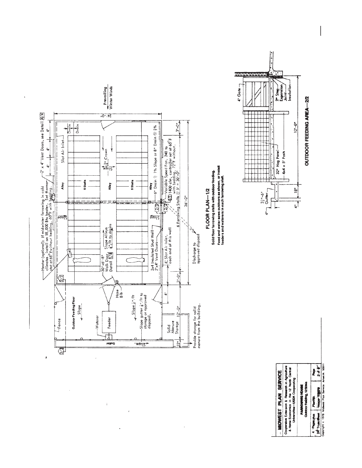

 $\mathbf{j}$ 

 $\bar{t}$ 

 $\ddot{\phantom{0}}$ 

 $\bar{\mathrm{r}}$ 

J

**4** Peperson Paints (2008)<br>26 Thursday Tilling Taylor 2*3 8*<br>Convolt (1978 Monest Pain Serice American S011) Cooperative Extension & Research in Agriculture<br>& Heme Economics in the 12 North Cantral<br>Universities-USDA Cooperating PARROWING HOUSE<br>Outdor Feiding, 1280in

OUTDOOR FEEDING AREA-2/2

 $12^{4}-0^{m}$ 

 $\frac{3}{2}$ 

 $\frac{1}{\sqrt{2}}$ 

MIDWEST PLAN SERVICE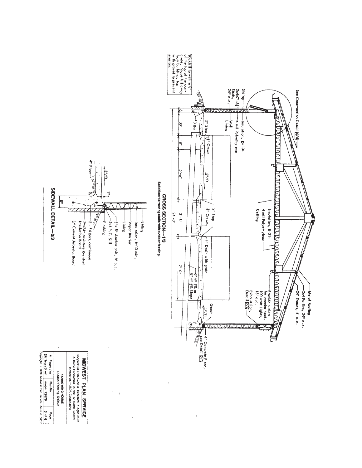